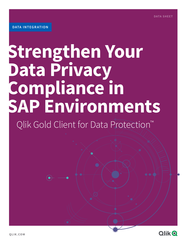# **Strengthen Your Data Privacy Compliance in SAP Environments**

Qlik Gold Client for Data Protection™

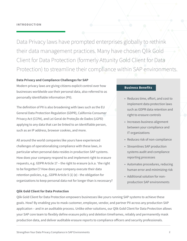Data Privacy laws have prompted enterprises globally to rethink their data management practices. Many have chosen Qlik Gold Client for Data Protection (formerly Attunity Gold Client for Data Protection) to streamline their compliance within SAP environments.

#### **Data Privacy and Compliance Challenges for SAP**

Modern privacy laws are giving citizens explicit control over how businesses worldwide use their personal data, also referred to as personally identifiable information (PII).

The definition of PII is also broadening with laws such as the EU General Data Protection Regulation (GDPR), California Consumer Privacy Act (CCPA), and Lei Geral de Proteção de Dados (LGPD) applying to any data that can be linked to an identifiable person, such as an IP address, browser cookies, and more.

All around the world companies like yours have experienced challenges of operationalizing compliance with these laws, in particular when personal data resides in production SAP systems. How does your company respond to and implement right to erasure requests, e.g. GDPR Article 17 – the right to erasure (a.k.a. 'the right to be forgotten')? How does your company execute their data retention policies, e.g., GDPR Article 5 (1) (e) - the obligation for organizations to keep personal data not for longer than is necessary?

#### **Qlik Gold Client for Data Protection**

#### **Business Benefits**

- Reduces time, effort, and cost to implement data protection laws such as GDPR data retention and right to erasure controls
- Increases business alignment between your compliance and IT organizations
- Reduces risk of non-compliance
- Streamlines SAP production systems audit and compliance reporting processes
- Automates procedures, reducing human error and minimizing risk
- Additional solution for nonproduction SAP environments

Qlik Gold Client for Data Protection empowers businesses like yours running SAP systems to achieve these goals. How? By enabling you to mask customer, employee, vendor, and partner PII across any production SAP application – and in an auditable process. Unlike other solutions, our Qlik Gold Client for Data Protection allows your SAP core team to flexibly define erasure policy and deletion timeframes, reliably and permanently mask production data, and deliver auditable erasure reports to compliance officers and security professionals.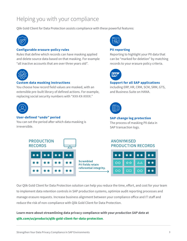### Helping you with your compliance

Qlik Gold Client for Data Protection assists compliance with these powerful features:



#### **Configurable erasure-policy rules**

Rules that define which records can have masking applied and delete source data based on that masking. For example "all inactive accounts that are over three years old".



#### **Custom data masking instructions**

You choose how record field values are masked, with an extensible pre-built library of defined actions. For example, replacing social security numbers with "XXX-XX-XXXX."



#### **User-defined "undo" period**

You can set the period after which data masking is irreversible.





#### **PII reporting**

Reporting to highlight your PII data that can be "marked for deletion" by matching records to your erasure policy criteria.



#### **Support for all SAP applications**

including ERP, HR, CRM, SCM, SRM, GTS, and Business Suite on HANA.



#### **SAP change log protection**

The process of masking PII data in SAP transaction logs.

#### **ANONYMISED PRODUCTION RECORDS**

| $**$ | $***$ | $**$            | $**$ |
|------|-------|-----------------|------|
| OO   | ☆☆    | $\Delta \Delta$ | **   |
| OO   | O O   | $\circ \circ$   | **   |

Our Qlik Gold Client for Data Protection solution can help you reduce the time, effort, and cost for your team to implement data retention controls in SAP production systems, optimize audit reporting processes and manage erasure requests. Increase business alignment between your compliance office and IT staff and reduce the risk of non-compliance with Qlik Gold Client for Data Protection.

**Learn more about streamlining data privacy compliance with your** *production SAP data* **at [qlik.com/us/products/qlik-gold-client-for-data-protection](https://www.qlik.com/us/products/qlik-gold-client-for-data-protection)**.